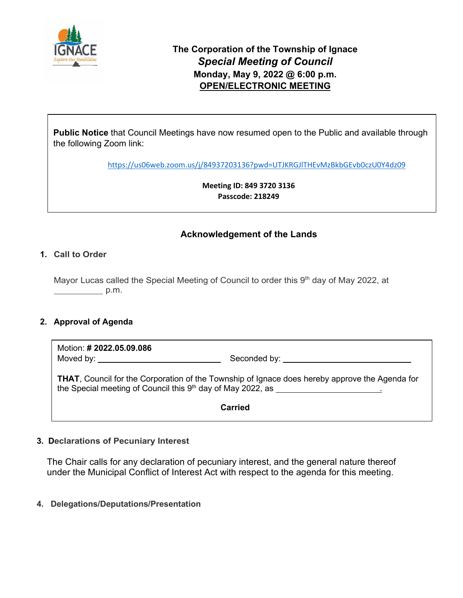

**Public Notice** that Council Meetings have now resumed open to the Public and available through the following Zoom link:

<https://us06web.zoom.us/j/84937203136?pwd=UTJKRGJlTHEvMzBkbGEvb0czU0Y4dz09>

**Meeting ID: 849 3720 3136 Passcode: 218249** 

## **Acknowledgement of the Lands**

## **1. Call to Order**

Mayor Lucas called the Special Meeting of Council to order this 9<sup>th</sup> day of May 2022, at  $p.m.$ 

## **2. Approval of Agenda**

Motion: **# 2022.05.09.086** Moved by: Seconded by:

**THAT**, Council for the Corporation of the Township of Ignace does hereby approve the Agenda for the Special meeting of Council this  $9<sup>th</sup>$  day of May 2022, as  $\qquad$ 

**Carried**

## **3. Declarations of Pecuniary Interest**

The Chair calls for any declaration of pecuniary interest, and the general nature thereof under the Municipal Conflict of Interest Act with respect to the agenda for this meeting.

## **4. Delegations/Deputations/Presentation**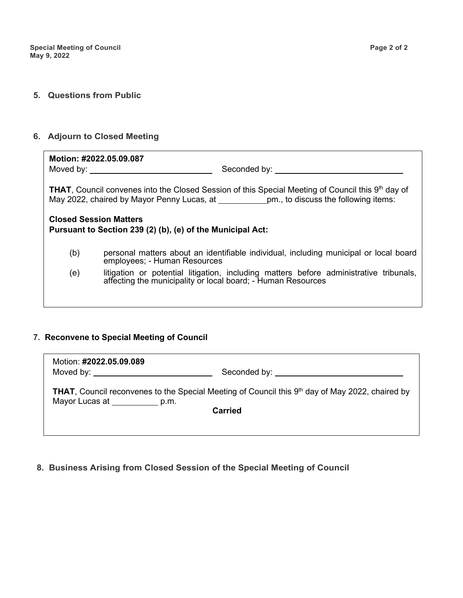#### **5. Questions from Public**

#### **6. Adjourn to Closed Meeting**

Motion: **#2022.05.09.** Moved by: Seconded by:  $\mathcal{L}=\mathcal{L}^{\mathcal{L}}$  , we have the seconded by:  $\mathcal{L}=\mathcal{L}^{\mathcal{L}}$ **Motion: #2022.05.09.087**

May 2022, chaired by Mayor Penny Lucas, at **example 10 and The Confirm the Following items:** Corporation of The Township of Ignace Special Meeting dated May 9th, 2022, be read a First, THAT, Council convenes into the Closed Session of this Special Meeting of Council this 9<sup>th</sup> day of

## **Closed Session Matters Carried Pursuant to Section 239 (2) (b), (e) of the Municipal Act:**

- (b) personal matters about an identifiable individual, including municipal or local board employees; - Human Resources
- (e) litigation or potential litigation, including matters before administrative tribunals, affecting the municipality or local board; - Human Resources

#### **7. Reconvene to Special Meeting of Council**

| Motion: #2022.05.09.089           |                                                                                                                     |  |
|-----------------------------------|---------------------------------------------------------------------------------------------------------------------|--|
| Moved by: November 2014           |                                                                                                                     |  |
| Mayor Lucas at _____________ p.m. | <b>THAT, Council reconvenes to the Special Meeting of Council this <math>9th</math> day of May 2022, chaired by</b> |  |
| <b>Carried</b>                    |                                                                                                                     |  |
|                                   |                                                                                                                     |  |

#### **8. Business Arising from Closed Session of the Special Meeting of Council**